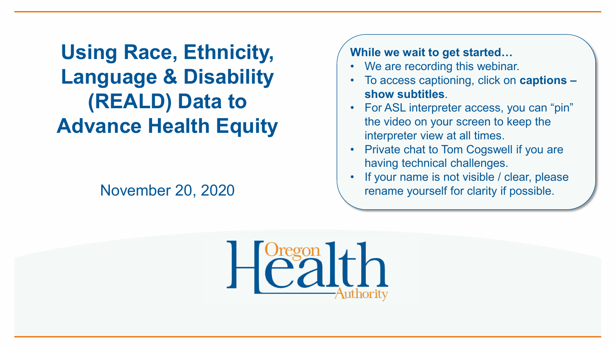**Using Race, Ethnicity, Language & Disability (REALD) Data to Advance Health Equity** 

#### November 20, 2020

**While we wait to get started…**

- We are recording this webinar.
- To access captioning, click on **captions – show subtitles**.
- For ASL interpreter access, you can "pin" the video on your screen to keep the interpreter view at all times.
- Private chat to Tom Cogswell if you are having technical challenges.
- If your name is not visible / clear, please rename yourself for clarity if possible.

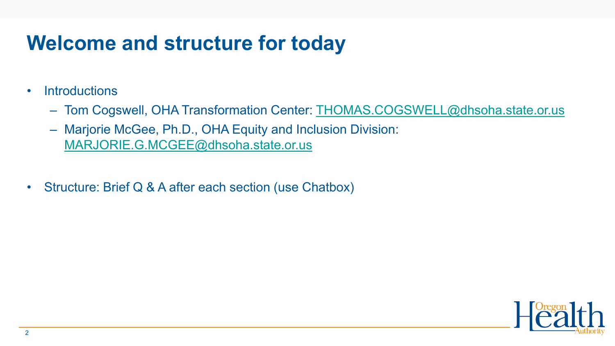#### **Welcome and structure for today**

- Introductions
	- Tom Cogswell, OHA Transformation Center: [THOMAS.COGSWELL@dhsoha.state.or.us](mailto:THOMAS.COGSWELL@dhsoha.state.or.us)
	- Marjorie McGee, Ph.D., OHA Equity and Inclusion Division: [MARJORIE.G.MCGEE@dhsoha.state.or.us](mailto:MARJORIE.G.MCGEE@dhsoha.state.or.us)
- Structure: Brief Q & A after each section (use Chatbox)

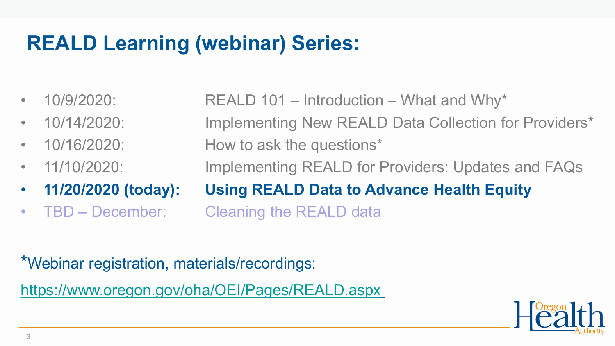### **REALD Learning (webinar) Series:**

•  $10/9/2020$ : REALD  $101$  – Introduction – What and Why\* • 10/14/2020: Implementing New REALD Data Collection for Providers\* • 10/16/2020: How to ask the questions\* • 11/10/2020: Implementing REALD for Providers: Updates and FAQs • **11/20/2020 (today): Using REALD Data to Advance Health Equity** • TBD – December: Cleaning the REALD data

\*Webinar registration, materials/recordings: <https://www.oregon.gov/oha/OEI/Pages/REALD.aspx>

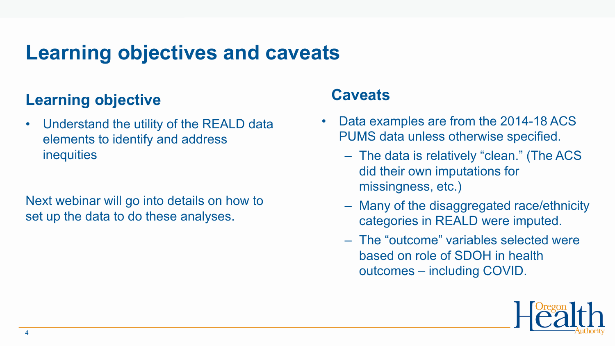#### **Learning objectives and caveats**

#### **Learning objective**

• Understand the utility of the REALD data elements to identify and address **inequities** 

Next webinar will go into details on how to set up the data to do these analyses.

#### **Caveats**

- Data examples are from the 2014-18 ACS PUMS data unless otherwise specified.
	- The data is relatively "clean." (The ACS did their own imputations for missingness, etc.)
	- Many of the disaggregated race/ethnicity categories in REALD were imputed.
	- The "outcome" variables selected were based on role of SDOH in health outcomes – including COVID.

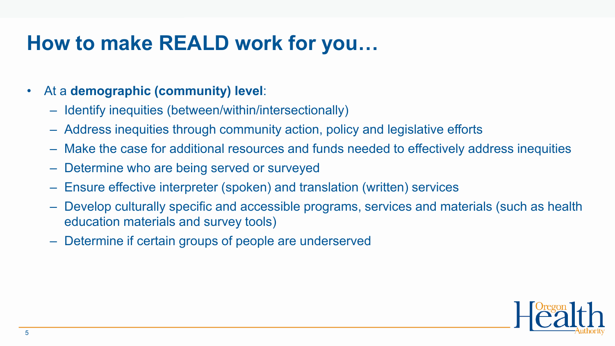#### **How to make REALD work for you…**

#### • At a **demographic (community) level**:

- Identify inequities (between/within/intersectionally)
- Address inequities through community action, policy and legislative efforts
- Make the case for additional resources and funds needed to effectively address inequities
- Determine who are being served or surveyed
- Ensure effective interpreter (spoken) and translation (written) services
- Develop culturally specific and accessible programs, services and materials (such as health education materials and survey tools)
- Determine if certain groups of people are underserved

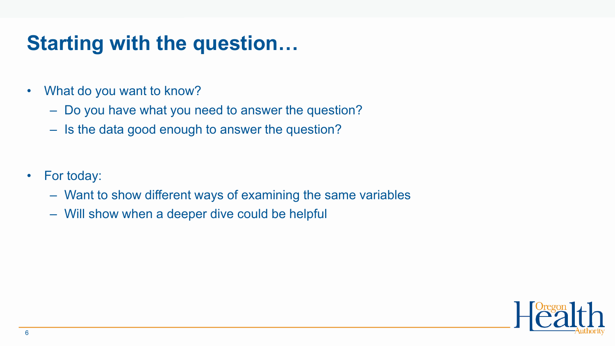#### **Starting with the question…**

- What do you want to know?
	- Do you have what you need to answer the question?
	- Is the data good enough to answer the question?
- For today:
	- Want to show different ways of examining the same variables
	- Will show when a deeper dive could be helpful

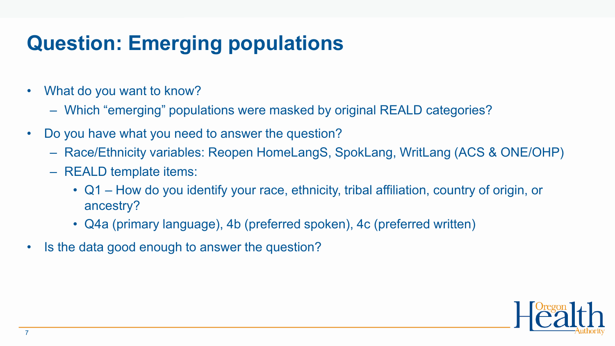## **Question: Emerging populations**

- What do you want to know?
	- Which "emerging" populations were masked by original REALD categories?
- Do you have what you need to answer the question?
	- Race/Ethnicity variables: Reopen HomeLangS, SpokLang, WritLang (ACS & ONE/OHP)
	- REALD template items:
		- Q1 How do you identify your race, ethnicity, tribal affiliation, country of origin, or ancestry?
		- Q4a (primary language), 4b (preferred spoken), 4c (preferred written)
- Is the data good enough to answer the question?

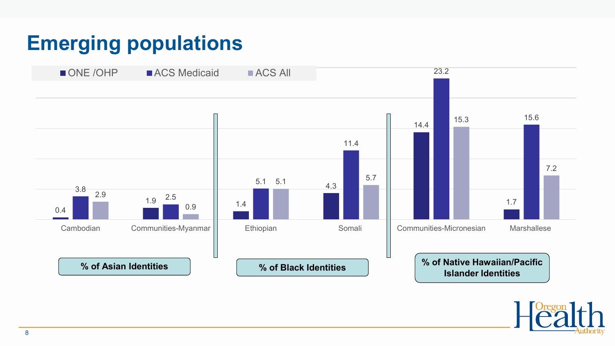### **Emerging populations**



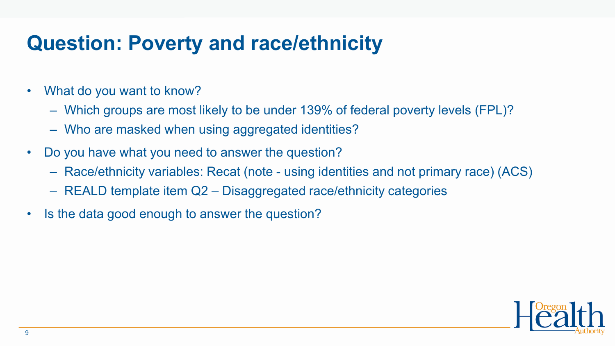#### **Question: Poverty and race/ethnicity**

- What do you want to know?
	- Which groups are most likely to be under 139% of federal poverty levels (FPL)?
	- Who are masked when using aggregated identities?
- Do you have what you need to answer the question?
	- Race/ethnicity variables: Recat (note using identities and not primary race) (ACS)
	- REALD template item Q2 Disaggregated race/ethnicity categories
- Is the data good enough to answer the question?

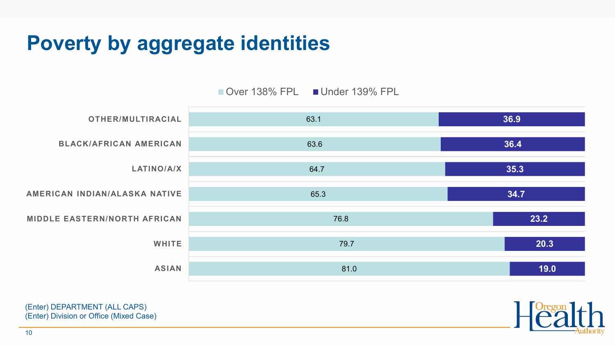### **Poverty by aggregate identities**







(Enter) DEPARTMENT (ALL CAPS) (Enter) Division or Office (Mixed Case)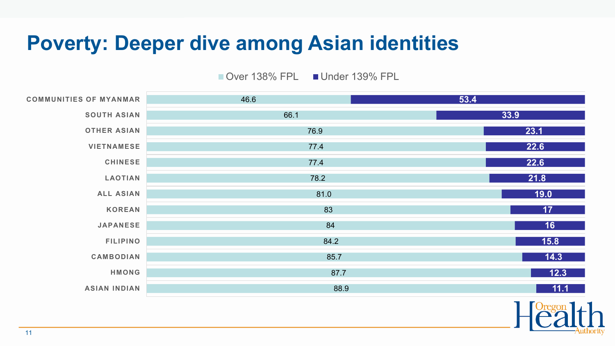#### **Poverty: Deeper dive among Asian identities**

Over 138% FPL Under 139% FPL

| <b>COMMUNITIES OF MYANMAR</b> | 46.6 | 53.4           |
|-------------------------------|------|----------------|
| <b>SOUTH ASIAN</b>            | 66.1 | 33.9           |
| <b>OTHER ASIAN</b>            | 76.9 | 23.1           |
| <b>VIETNAMESE</b>             | 77.4 | 22.6           |
| <b>CHINESE</b>                | 77.4 | 22.6           |
| <b>LAOTIAN</b>                | 78.2 | 21.8           |
| <b>ALL ASIAN</b>              | 81.0 | 19.0           |
| <b>KOREAN</b>                 | 83   | 17             |
| <b>JAPANESE</b>               | 84   | 16             |
| <b>FILIPINO</b>               | 84.2 | 15.8           |
| <b>CAMBODIAN</b>              | 85.7 | 14.3           |
| <b>HMONG</b>                  | 87.7 | $\boxed{12.3}$ |
| <b>ASIAN INDIAN</b>           | 88.9 | 11.1           |
|                               |      |                |

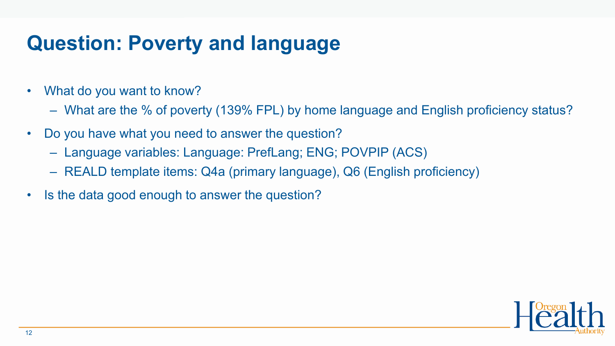#### **Question: Poverty and language**

- What do you want to know?
	- What are the % of poverty (139% FPL) by home language and English proficiency status?
- Do you have what you need to answer the question?
	- Language variables: Language: PrefLang; ENG; POVPIP (ACS)
	- REALD template items: Q4a (primary language), Q6 (English proficiency)
- Is the data good enough to answer the question?

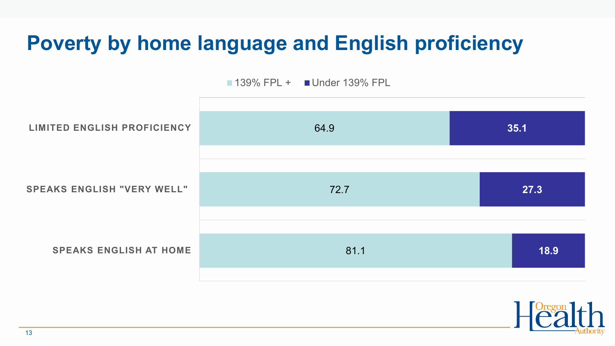### **Poverty by home language and English proficiency**

**139% FPL + Under 139% FPL** 



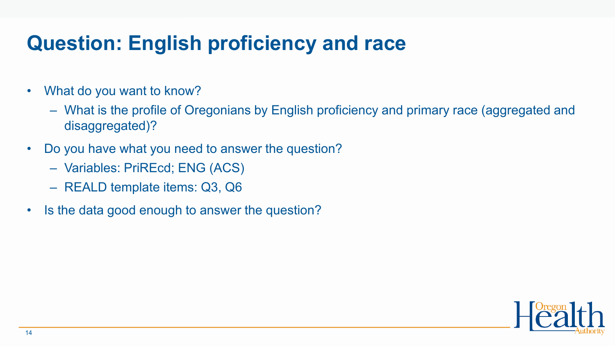#### **Question: English proficiency and race**

- What do you want to know?
	- What is the profile of Oregonians by English proficiency and primary race (aggregated and disaggregated)?
- Do you have what you need to answer the question?
	- Variables: PriREcd; ENG (ACS)
	- REALD template items: Q3, Q6
- Is the data good enough to answer the question?

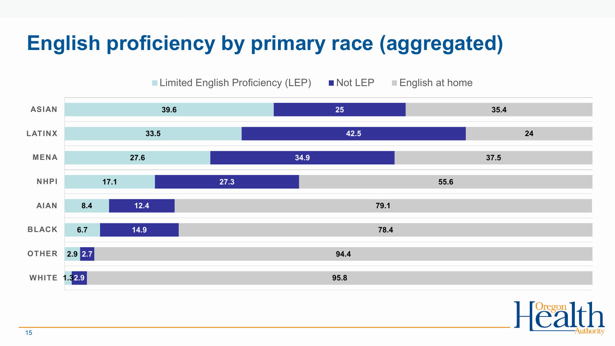# **English proficiency by primary race (aggregated)**

■ Limited English Proficiency (LEP) ■ Not LEP ■ English at home



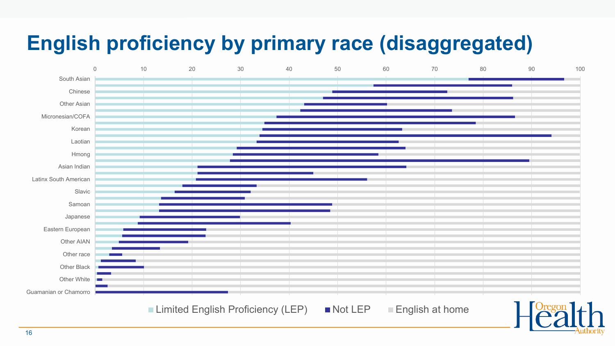# **English proficiency by primary race (disaggregated)**

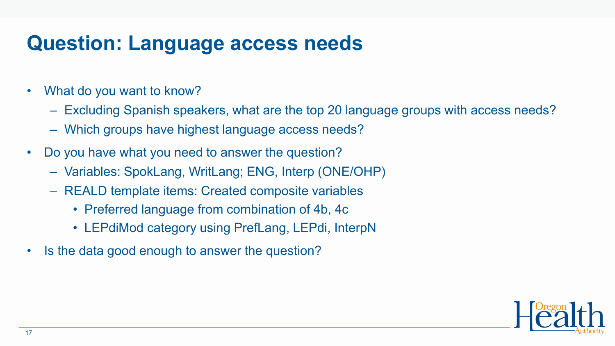#### **Question: Language access needs**

- What do you want to know?
	- Excluding Spanish speakers, what are the top 20 language groups with access needs?
	- Which groups have highest language access needs?
- Do you have what you need to answer the question?
	- Variables: SpokLang, WritLang; ENG, Interp (ONE/OHP)
	- REALD template items: Created composite variables
		- Preferred language from combination of 4b, 4c
		- LEPdiMod category using PrefLang, LEPdi, InterpN
- Is the data good enough to answer the question?

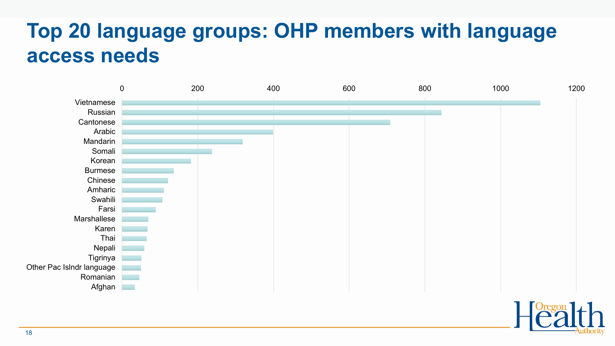#### **Top 20 language groups: OHP members with language access needs**

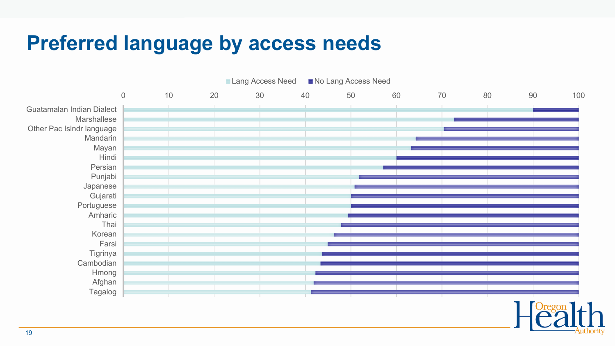#### **Preferred language by access needs**

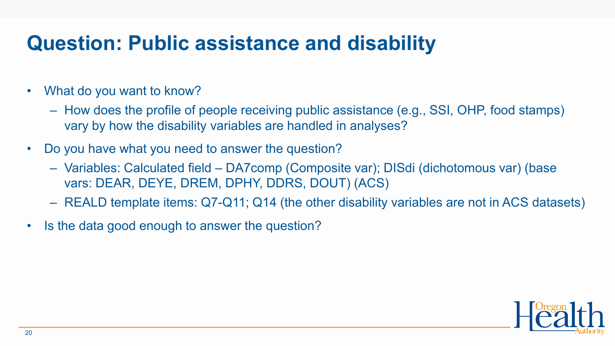#### **Question: Public assistance and disability**

- What do you want to know?
	- How does the profile of people receiving public assistance (e.g., SSI, OHP, food stamps) vary by how the disability variables are handled in analyses?
- Do you have what you need to answer the question?
	- Variables: Calculated field DA7comp (Composite var); DISdi (dichotomous var) (base vars: DEAR, DEYE, DREM, DPHY, DDRS, DOUT) (ACS)
	- REALD template items: Q7-Q11; Q14 (the other disability variables are not in ACS datasets)
- Is the data good enough to answer the question?

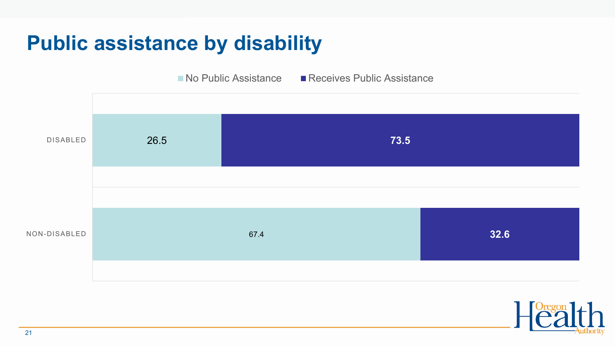#### **Public assistance by disability**

 $\blacksquare$  No Public Assistance  $\blacksquare$  Receives Public Assistance



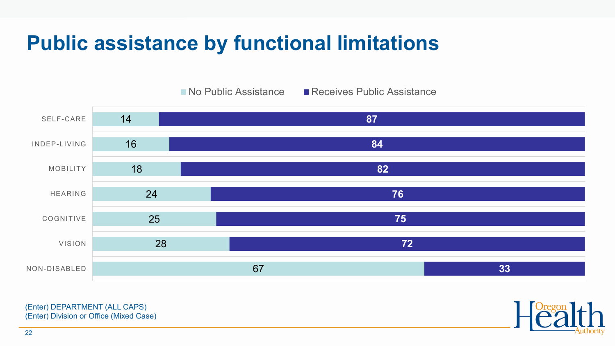#### **Public assistance by functional limitations**



(Enter) DEPARTMENT (ALL CAPS) (Enter) Division or Office (Mixed Case)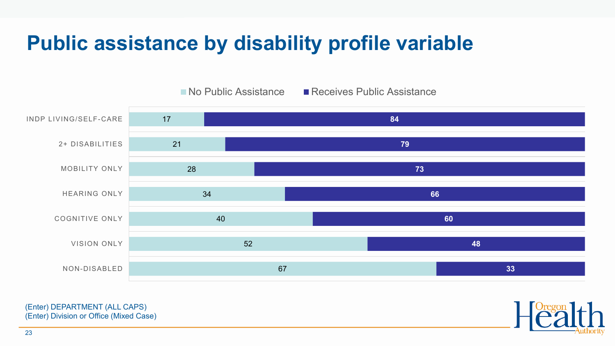#### **Public assistance by disability profile variable**



(Enter) DEPARTMENT (ALL CAPS) (Enter) Division or Office (Mixed Case)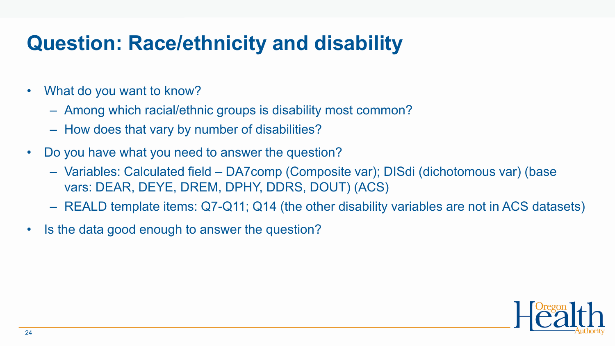### **Question: Race/ethnicity and disability**

- What do you want to know?
	- Among which racial/ethnic groups is disability most common?
	- How does that vary by number of disabilities?
- Do you have what you need to answer the question?
	- Variables: Calculated field DA7comp (Composite var); DISdi (dichotomous var) (base vars: DEAR, DEYE, DREM, DPHY, DDRS, DOUT) (ACS)
	- REALD template items: Q7-Q11; Q14 (the other disability variables are not in ACS datasets)
- Is the data good enough to answer the question?

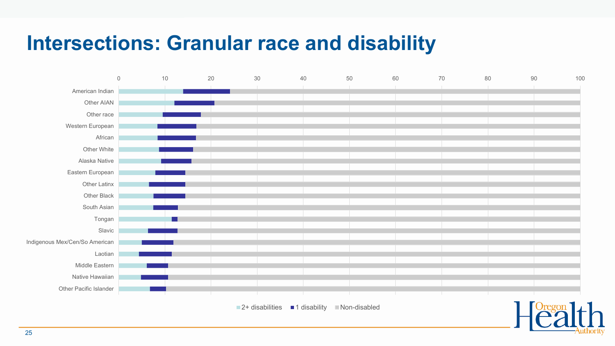#### **Intersections: Granular race and disability**



 $\blacksquare$  2+ disabilities  $\blacksquare$  1 disability  $\blacksquare$  Non-disabled